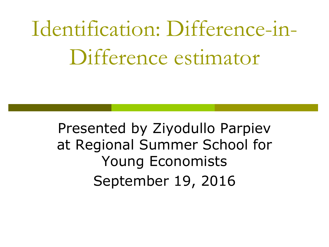Identification: Difference-in-Difference estimator

Presented by Ziyodullo Parpiev at Regional Summer School for Young Economists September 19, 2016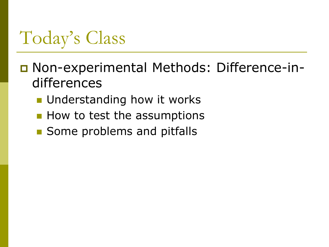# Today's Class

- Non-experimental Methods: Difference-indifferences
	- **Understanding how it works**
	- **How to test the assumptions**
	- **Some problems and pitfalls**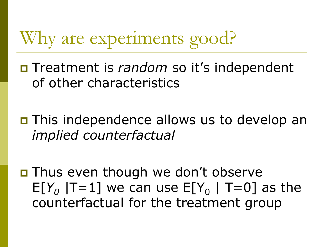## Why are experiments good?

 Treatment is *random* so it's independent of other characteristics

 This independence allows us to develop an *implied counterfactual*

**□** Thus even though we don't observe  $E[Y_0 | T=1]$  we can use  $E[Y_0 | T=0]$  as the counterfactual for the treatment group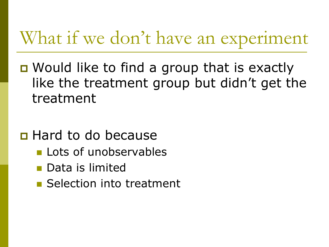## What if we don't have an experiment

- Would like to find a group that is exactly like the treatment group but didn't get the treatment
- **E** Hard to do because
	- **Lots of unobservables**
	- Data is limited
	- **Selection into treatment**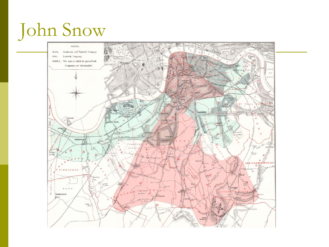# John Snow

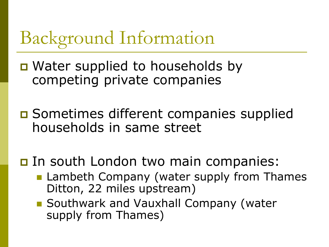# Background Information

- D Water supplied to households by competing private companies
- **□** Sometimes different companies supplied households in same street
- In south London two main companies:
	- **Lambeth Company (water supply from Thames** Ditton, 22 miles upstream)
	- Southwark and Vauxhall Company (water supply from Thames)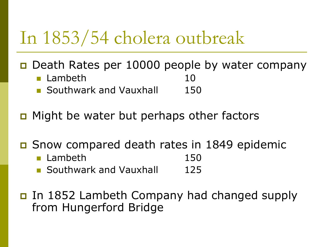## In 1853/54 cholera outbreak

■ Death Rates per 10000 people by water company

- **Lambeth** 10 **Southwark and Vauxhall** 150
- **D** Might be water but perhaps other factors
- Snow compared death rates in 1849 epidemic
	- **Lambeth** 150
	- **Southwark and Vauxhall 125**
- In 1852 Lambeth Company had changed supply from Hungerford Bridge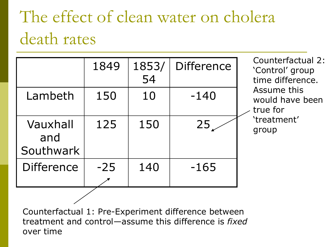# The effect of clean water on cholera death rates

|                              | 1849  | 1853/<br>54 | <b>Difference</b> |
|------------------------------|-------|-------------|-------------------|
| Lambeth                      | 150   | 10          | $-140$            |
| Vauxhall<br>and<br>Southwark | 125   | 150         | 25 <sub>1</sub>   |
| <b>Difference</b>            | $-25$ | 140         | $-165$            |

Counterfactual 2: 'Control' group time difference. Assume this would have been  $\angle$  true for 'treatment' group

Counterfactual 1: Pre-Experiment difference between treatment and control—assume this difference is *fixed* over time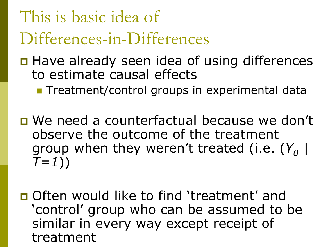# This is basic idea of Differences-in-Differences

- □ Have already seen idea of using differences to estimate causal effects
	- **Treatment/control groups in experimental data**
- We need a counterfactual because we don't observe the outcome of the treatment group when they weren't treated (i.e. (*Y<sup>0</sup> | T=1*))
- Often would like to find 'treatment' and 'control' group who can be assumed to be similar in every way except receipt of treatment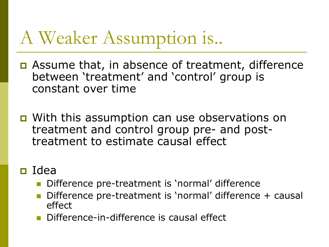# A Weaker Assumption is..

- **D** Assume that, in absence of treatment, difference between 'treatment' and 'control' group is constant over time
- With this assumption can use observations on treatment and control group pre- and posttreatment to estimate causal effect

#### Idea

- Difference pre-treatment is 'normal' difference
- Difference pre-treatment is 'normal' difference + causal effect
- Difference-in-difference is causal effect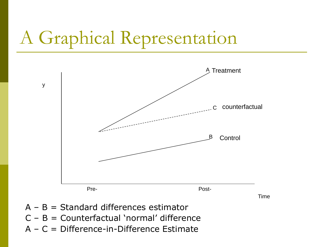# A Graphical Representation



Time

 $A - B =$  Standard differences estimator

y

- $C B =$  Counterfactual 'normal' difference
- A C = Difference-in-Difference Estimate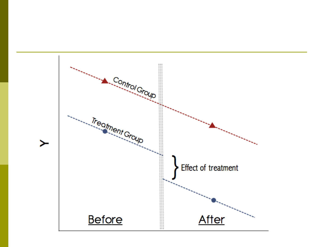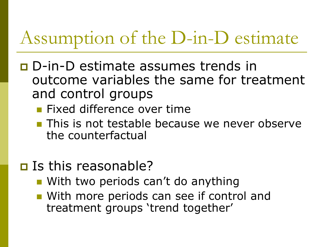# Assumption of the D-in-D estimate

- D-in-D estimate assumes trends in outcome variables the same for treatment and control groups
	- **Fixed difference over time**
	- **This is not testable because we never observe** the counterfactual
- □ Is this reasonable?
	- **Notainal Exercise Seriods can't do anything**
	- **Nota Mith more periods can see if control and** treatment groups 'trend together'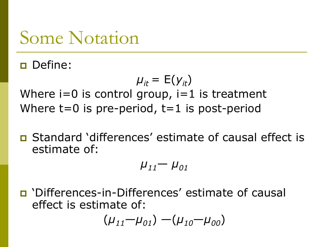#### Some Notation

Define:

 $\mu_{it} = E(y_{it})$ Where  $i=0$  is control group,  $i=1$  is treatment Where  $t=0$  is pre-period,  $t=1$  is post-period

 Standard 'differences' estimate of causal effect is estimate of:

 $\mu_{11} - \mu_{01}$ 

 'Differences-in-Differences' estimate of causal effect is estimate of:

$$
(\mu_{11} - \mu_{01}) - (\mu_{10} - \mu_{00})
$$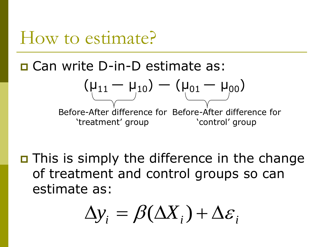#### How to estimate?

Can write D-in-D estimate as:

$$
(\mu_{11} - \mu_{10}) - (\mu_{01} - \mu_{00})
$$
\nBefore-After difference for Before-After difference for 'treatment' group 'control' group

 This is simply the difference in the change of treatment and control groups so can estimate as:

$$
\Delta y_i = \beta(\Delta X_i) + \Delta \varepsilon_i
$$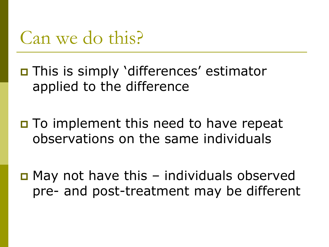

 This is simply 'differences' estimator applied to the difference

 $\Box$  To implement this need to have repeat observations on the same individuals

 $\Box$  May not have this – individuals observed pre- and post-treatment may be different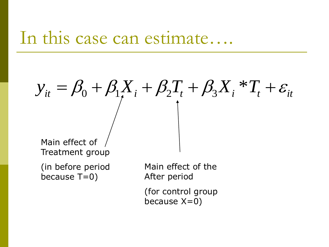#### In this case can estimate….

# $\beta_0 + \beta_1 X_i + \beta_2 T_i + \beta_3 X_i$ \*  $y_{it} = \beta_0 + \beta_1 X_i + \beta_2 T_t + \beta_3 X_i * T_t + \varepsilon_{it}$

Main effect of Treatment group

(in before period because T=0)

Main effect of the After period

(for control group because  $X=0$ )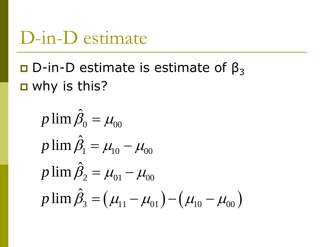#### D-in-D estimate

#### $\Box$  D-in-D estimate is estimate of β<sub>3</sub> **D** why is this?

$$
p \lim \hat{\beta}_0 = \mu_{00}
$$
  
\n
$$
p \lim \hat{\beta}_1 = \mu_{10} - \mu_{00}
$$
  
\n
$$
p \lim \hat{\beta}_2 = \mu_{01} - \mu_{00}
$$
  
\n
$$
p \lim \hat{\beta}_3 = (\mu_{11} - \mu_{01}) - (\mu_{10} - \mu_{00})
$$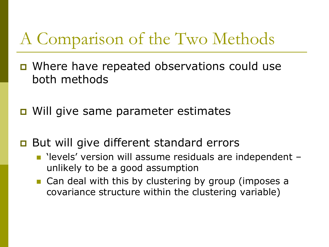#### A Comparison of the Two Methods

- **D** Where have repeated observations could use both methods
- **D** Will give same parameter estimates
- **But will give different standard errors** 
	- 'levels' version will assume residuals are independent unlikely to be a good assumption
	- **Can deal with this by clustering by group (imposes a** covariance structure within the clustering variable)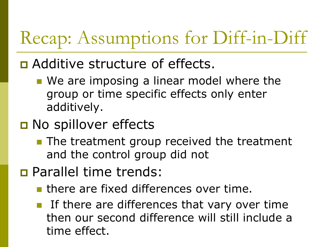# Recap: Assumptions for Diff-in-Diff

#### **D** Additive structure of effects.

- We are imposing a linear model where the group or time specific effects only enter additively.
- **D** No spillover effects
	- **The treatment group received the treatment** and the control group did not
- Parallel time trends:
	- **If** there are fixed differences over time.
	- If there are differences that vary over time then our second difference will still include a time effect.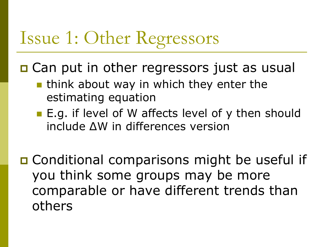# Issue 1: Other Regressors

**□ Can put in other regressors just as usual** 

- **I** think about way in which they enter the estimating equation
- E.g. if level of W affects level of y then should include ΔW in differences version

**□ Conditional comparisons might be useful if** you think some groups may be more comparable or have different trends than others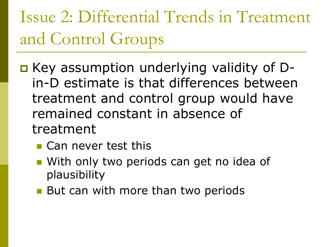Issue 2: Differential Trends in Treatment and Control Groups

- Key assumption underlying validity of Din-D estimate is that differences between treatment and control group would have remained constant in absence of treatment
	- **Can never test this**
	- **Nota Up 10 Mith only two periods can get no idea of** plausibility
	- But can with more than two periods